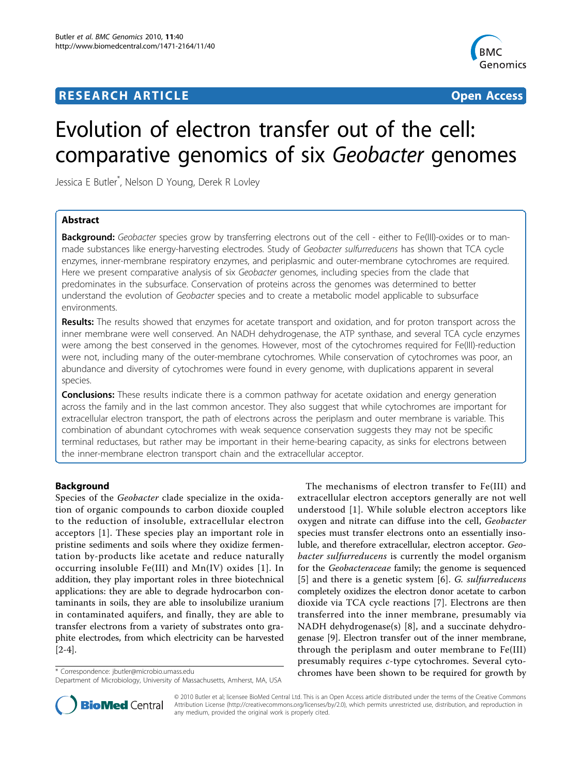## **RESEARCH ARTICLE Example 2018 CONSUMING ACCESS**



# Evolution of electron transfer out of the cell: comparative genomics of six Geobacter genomes

Jessica E Butler\* , Nelson D Young, Derek R Lovley

## Abstract

**Background:** Geobacter species grow by transferring electrons out of the cell - either to Fe(III)-oxides or to manmade substances like energy-harvesting electrodes. Study of Geobacter sulfurreducens has shown that TCA cycle enzymes, inner-membrane respiratory enzymes, and periplasmic and outer-membrane cytochromes are required. Here we present comparative analysis of six Geobacter genomes, including species from the clade that predominates in the subsurface. Conservation of proteins across the genomes was determined to better understand the evolution of Geobacter species and to create a metabolic model applicable to subsurface environments.

Results: The results showed that enzymes for acetate transport and oxidation, and for proton transport across the inner membrane were well conserved. An NADH dehydrogenase, the ATP synthase, and several TCA cycle enzymes were among the best conserved in the genomes. However, most of the cytochromes required for Fe(III)-reduction were not, including many of the outer-membrane cytochromes. While conservation of cytochromes was poor, an abundance and diversity of cytochromes were found in every genome, with duplications apparent in several species.

**Conclusions:** These results indicate there is a common pathway for acetate oxidation and energy generation across the family and in the last common ancestor. They also suggest that while cytochromes are important for extracellular electron transport, the path of electrons across the periplasm and outer membrane is variable. This combination of abundant cytochromes with weak sequence conservation suggests they may not be specific terminal reductases, but rather may be important in their heme-bearing capacity, as sinks for electrons between the inner-membrane electron transport chain and the extracellular acceptor.

## Background

Species of the Geobacter clade specialize in the oxidation of organic compounds to carbon dioxide coupled to the reduction of insoluble, extracellular electron acceptors [[1](#page-10-0)]. These species play an important role in pristine sediments and soils where they oxidize fermentation by-products like acetate and reduce naturally occurring insoluble Fe(III) and Mn(IV) oxides [[1](#page-10-0)]. In addition, they play important roles in three biotechnical applications: they are able to degrade hydrocarbon contaminants in soils, they are able to insolubilize uranium in contaminated aquifers, and finally, they are able to transfer electrons from a variety of substrates onto graphite electrodes, from which electricity can be harvested [[2-4](#page-10-0)].

Department of Microbiology, University of Massachusetts, Amherst, MA, USA





© 2010 Butler et al; licensee BioMed Central Ltd. This is an Open Access article distributed under the terms of the Creative Commons Attribution License [\(http://creativecommons.org/licenses/by/2.0](http://creativecommons.org/licenses/by/2.0)), which permits unrestricted use, distribution, and reproduction in any medium, provided the original work is properly cited.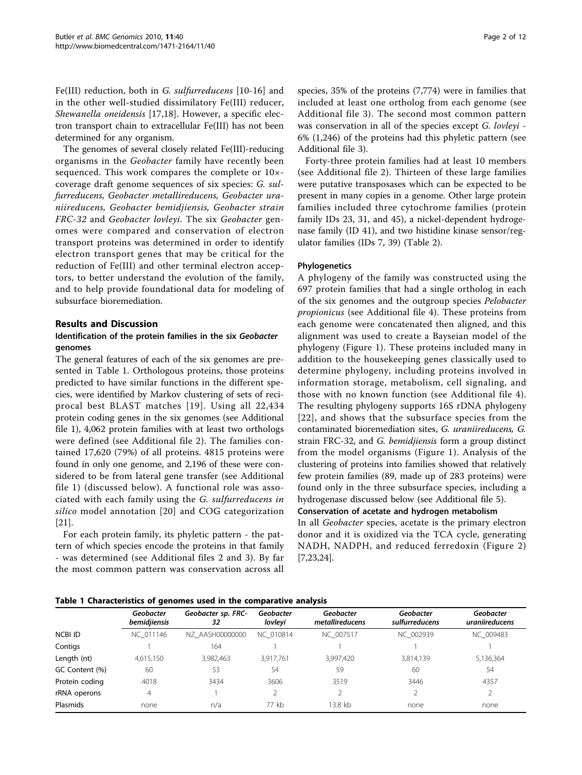Fe(III) reduction, both in G. sulfurreducens [[10](#page-10-0)-[16\]](#page-10-0) and in the other well-studied dissimilatory Fe(III) reducer, Shewanella oneidensis [\[17](#page-10-0),[18\]](#page-10-0). However, a specific electron transport chain to extracellular Fe(III) has not been determined for any organism.

The genomes of several closely related Fe(III)-reducing organisms in the Geobacter family have recently been sequenced. This work compares the complete or 10× coverage draft genome sequences of six species: G. sulfurreducens, Geobacter metallireducens, Geobacter uraniireducens, Geobacter bemidjiensis, Geobacter strain FRC-32 and Geobacter lovleyi. The six Geobacter genomes were compared and conservation of electron transport proteins was determined in order to identify electron transport genes that may be critical for the reduction of Fe(III) and other terminal electron acceptors, to better understand the evolution of the family, and to help provide foundational data for modeling of subsurface bioremediation.

#### Results and Discussion

## Identification of the protein families in the six Geobacter genomes

The general features of each of the six genomes are presented in Table 1. Orthologous proteins, those proteins predicted to have similar functions in the different species, were identified by Markov clustering of sets of reciprocal best BLAST matches [[19\]](#page-10-0). Using all 22,434 protein coding genes in the six genomes (see Additional file [1](#page-9-0)), 4,062 protein families with at least two orthologs were defined (see Additional file [2\)](#page-9-0). The families contained 17,620 (79%) of all proteins. 4815 proteins were found in only one genome, and 2,196 of these were considered to be from lateral gene transfer (see Additional file [1](#page-9-0)) (discussed below). A functional role was associated with each family using the G. sulfurreducens in silico model annotation [[20](#page-10-0)] and COG categorization [[21\]](#page-10-0).

For each protein family, its phyletic pattern - the pattern of which species encode the proteins in that family - was determined (see Additional files [2](#page-9-0) and [3](#page-9-0)). By far the most common pattern was conservation across all

species, 35% of the proteins (7,774) were in families that included at least one ortholog from each genome (see Additional file [3\)](#page-9-0). The second most common pattern was conservation in all of the species except G. lovleyi - 6% (1,246) of the proteins had this phyletic pattern (see Additional file [3](#page-9-0)).

Forty-three protein families had at least 10 members (see Additional file [2\)](#page-9-0). Thirteen of these large families were putative transposases which can be expected to be present in many copies in a genome. Other large protein families included three cytochrome families (protein family IDs 23, 31, and 45), a nickel-dependent hydrogenase family (ID 41), and two histidine kinase sensor/regulator families (IDs 7, 39) (Table [2\)](#page-2-0).

#### **Phylogenetics**

A phylogeny of the family was constructed using the 697 protein families that had a single ortholog in each of the six genomes and the outgroup species Pelobacter propionicus (see Additional file [4\)](#page-9-0). These proteins from each genome were concatenated then aligned, and this alignment was used to create a Bayseian model of the phylogeny (Figure [1](#page-2-0)). These proteins included many in addition to the housekeeping genes classically used to determine phylogeny, including proteins involved in information storage, metabolism, cell signaling, and those with no known function (see Additional file [4](#page-9-0)). The resulting phylogeny supports 16S rDNA phylogeny [[22\]](#page-10-0), and shows that the subsurface species from the contaminated bioremediation sites, G. uraniireducens, G. strain FRC-32, and G. bemidjiensis form a group distinct from the model organisms (Figure [1](#page-2-0)). Analysis of the clustering of proteins into families showed that relatively few protein families (89, made up of 283 proteins) were found only in the three subsurface species, including a hydrogenase discussed below (see Additional file [5\)](#page-9-0).

## Conservation of acetate and hydrogen metabolism

In all Geobacter species, acetate is the primary electron donor and it is oxidized via the TCA cycle, generating NADH, NADPH, and reduced ferredoxin (Figure [2](#page-3-0)) [[7,23,24\]](#page-10-0).

Table 1 Characteristics of genomes used in the comparative analysis

|                | Geobacter<br>bemidjiensis | Geobacter sp. FRC-<br>32 | Geobacter<br>lovleyi | Geobacter<br>metallireducens | Geobacter<br>sulfurreducens | Geobacter<br>uraniireducens |
|----------------|---------------------------|--------------------------|----------------------|------------------------------|-----------------------------|-----------------------------|
| <b>NCBI ID</b> | NC 011146                 | NZ AASH00000000          | NC 010814            | NC 007517                    | NC 002939                   | NC 009483                   |
| Contigs        |                           | 164                      |                      |                              |                             |                             |
| Length (nt)    | 4.615.150                 | 3,982,463                | 3.917.761            | 3.997.420                    | 3.814.139                   | 5,136,364                   |
| GC Content (%) | 60                        | 53                       | 54                   | 59                           | 60                          | 54                          |
| Protein coding | 4018                      | 3434                     | 3606                 | 3519                         | 3446                        | 4357                        |
| rRNA operons   | 4                         |                          |                      |                              |                             |                             |
| Plasmids       | none                      | n/a                      | 77 kb                | 13.8 kb                      | none                        | none                        |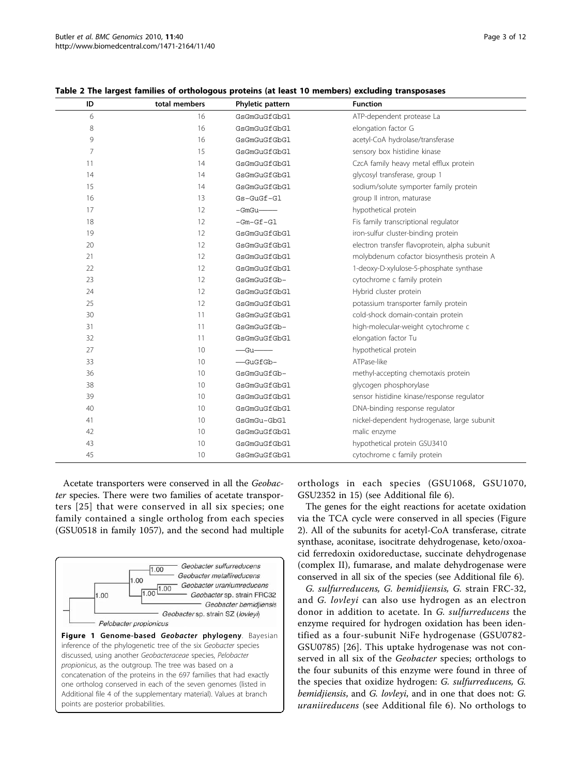| ID | total members   | Phyletic pattern | <b>Function</b>                               |
|----|-----------------|------------------|-----------------------------------------------|
| 6  | 16              | GsGmGuGfGbGl     | ATP-dependent protease La                     |
| 8  | 16              | GsGmGuGfGbGl     | elongation factor G                           |
| 9  | 16              | GsGmGuGfGbGl     | acetyl-CoA hydrolase/transferase              |
| 7  | 15              | GsGmGuGfGbGl     | sensory box histidine kinase                  |
| 11 | 14              | GsGmGuGfGbGl     | CzcA family heavy metal efflux protein        |
| 14 | 14              | GsGmGuGfGbGl     | glycosyl transferase, group 1                 |
| 15 | 14              | GsGmGuGfGbGl     | sodium/solute symporter family protein        |
| 16 | 13              | Gs-GuGf-Gl       | group II intron, maturase                     |
| 17 | 12              | $-GmGu$          | hypothetical protein                          |
| 18 | 12              | $-Gm-Gf-G1$      | Fis family transcriptional regulator          |
| 19 | 12              | GsGmGuGfGbGl     | iron-sulfur cluster-binding protein           |
| 20 | 12              | GsGmGuGfGbGl     | electron transfer flavoprotein, alpha subunit |
| 21 | 12              | GsGmGuGfGbGl     | molybdenum cofactor biosynthesis protein A    |
| 22 | 12              | GsGmGuGfGbGl     | 1-deoxy-D-xylulose-5-phosphate synthase       |
| 23 | 12              | GsGmGuGfGb-      | cytochrome c family protein                   |
| 24 | 12              | GsGmGuGfGbGl     | Hybrid cluster protein                        |
| 25 | 12              | GsGmGuGfGbGl     | potassium transporter family protein          |
| 30 | 11              | GsGmGuGfGbGl     | cold-shock domain-contain protein             |
| 31 | 11              | GsGmGuGfGb-      | high-molecular-weight cytochrome c            |
| 32 | 11              | GsGmGuGfGbGl     | elongation factor Tu                          |
| 27 | 10 <sup>°</sup> | —Gu——            | hypothetical protein                          |
| 33 | 10              | -GuGfGb-         | ATPase-like                                   |
| 36 | 10              | GsGmGuGfGb-      | methyl-accepting chemotaxis protein           |
| 38 | 10              | GsGmGuGfGbGl     | glycogen phosphorylase                        |
| 39 | 10 <sup>°</sup> | GsGmGuGfGbGl     | sensor histidine kinase/response regulator    |
| 40 | 10 <sup>°</sup> | GsGmGuGfGbGl     | DNA-binding response regulator                |
| 41 | 10 <sup>°</sup> | GsGmGu-GbGl      | nickel-dependent hydrogenase, large subunit   |
| 42 | 10              | GsGmGuGfGbGl     | malic enzyme                                  |
| 43 | 10              | GsGmGuGfGbGl     | hypothetical protein GSU3410                  |
| 45 | 10              | GsGmGuGfGbGl     | cytochrome c family protein                   |

<span id="page-2-0"></span>Table 2 The largest families of orthologous proteins (at least 10 members) excluding transposases

Acetate transporters were conserved in all the Geobacter species. There were two families of acetate transporters [[25](#page-10-0)] that were conserved in all six species; one family contained a single ortholog from each species (GSU0518 in family 1057), and the second had multiple



orthologs in each species (GSU1068, GSU1070, GSU2352 in 15) (see Additional file [6\)](#page-9-0).

The genes for the eight reactions for acetate oxidation via the TCA cycle were conserved in all species (Figure [2\)](#page-3-0). All of the subunits for acetyl-CoA transferase, citrate synthase, aconitase, isocitrate dehydrogenase, keto/oxoacid ferredoxin oxidoreductase, succinate dehydrogenase (complex II), fumarase, and malate dehydrogenase were conserved in all six of the species (see Additional file [6](#page-9-0)).

G. sulfurreducens, G. bemidjiensis, G. strain FRC-32, and G. lovleyi can also use hydrogen as an electron donor in addition to acetate. In G. sulfurreducens the enzyme required for hydrogen oxidation has been identified as a four-subunit NiFe hydrogenase (GSU0782- GSU0785) [[26\]](#page-10-0). This uptake hydrogenase was not conserved in all six of the Geobacter species; orthologs to the four subunits of this enzyme were found in three of the species that oxidize hydrogen: G. sulfurreducens, G. bemidjiensis, and G. lovleyi, and in one that does not: G. uraniireducens (see Additional file [6](#page-9-0)). No orthologs to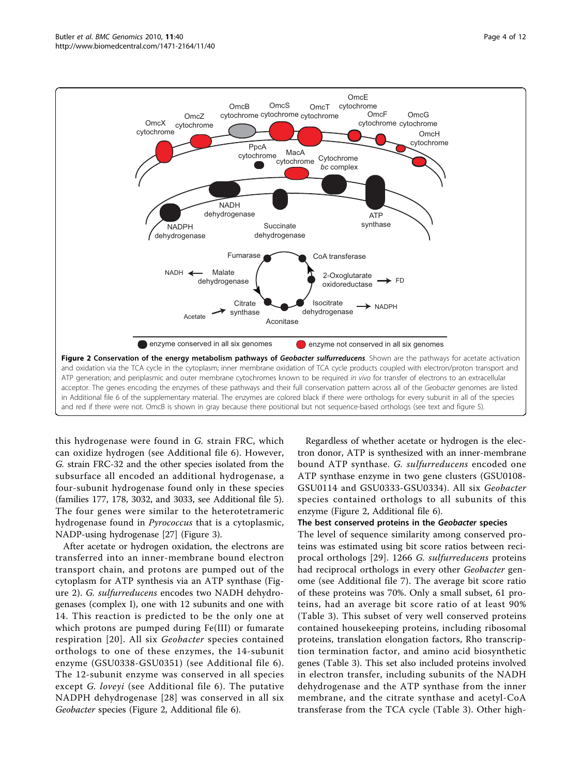<span id="page-3-0"></span>

this hydrogenase were found in G. strain FRC, which can oxidize hydrogen (see Additional file [6\)](#page-9-0). However, G. strain FRC-32 and the other species isolated from the subsurface all encoded an additional hydrogenase, a four-subunit hydrogenase found only in these species (families 177, 178, 3032, and 3033, see Additional file [5](#page-9-0)). The four genes were similar to the heterotetrameric hydrogenase found in Pyrococcus that is a cytoplasmic, NADP-using hydrogenase [\[27\]](#page-10-0) (Figure [3](#page-4-0)).

After acetate or hydrogen oxidation, the electrons are transferred into an inner-membrane bound electron transport chain, and protons are pumped out of the cytoplasm for ATP synthesis via an ATP synthase (Figure 2). G. sulfurreducens encodes two NADH dehydrogenases (complex I), one with 12 subunits and one with 14. This reaction is predicted to be the only one at which protons are pumped during Fe(III) or fumarate respiration [[20](#page-10-0)]. All six Geobacter species contained orthologs to one of these enzymes, the 14-subunit enzyme (GSU0338-GSU0351) (see Additional file [6\)](#page-9-0). The 12-subunit enzyme was conserved in all species except G. loveyi (see Additional file [6\)](#page-9-0). The putative NADPH dehydrogenase [[28](#page-10-0)] was conserved in all six Geobacter species (Figure 2, Additional file [6](#page-9-0)).

Regardless of whether acetate or hydrogen is the electron donor, ATP is synthesized with an inner-membrane bound ATP synthase. G. sulfurreducens encoded one ATP synthase enzyme in two gene clusters (GSU0108- GSU0114 and GSU0333-GSU0334). All six Geobacter species contained orthologs to all subunits of this enzyme (Figure 2, Additional file [6\)](#page-9-0).

#### The best conserved proteins in the Geobacter species

The level of sequence similarity among conserved proteins was estimated using bit score ratios between reciprocal orthologs [[29](#page-10-0)]. 1266 G. sulfurreducens proteins had reciprocal orthologs in every other Geobacter genome (see Additional file [7](#page-9-0)). The average bit score ratio of these proteins was 70%. Only a small subset, 61 proteins, had an average bit score ratio of at least 90% (Table [3\)](#page-5-0). This subset of very well conserved proteins contained housekeeping proteins, including ribosomal proteins, translation elongation factors, Rho transcription termination factor, and amino acid biosynthetic genes (Table [3](#page-5-0)). This set also included proteins involved in electron transfer, including subunits of the NADH dehydrogenase and the ATP synthase from the inner membrane, and the citrate synthase and acetyl-CoA transferase from the TCA cycle (Table [3\)](#page-5-0). Other high-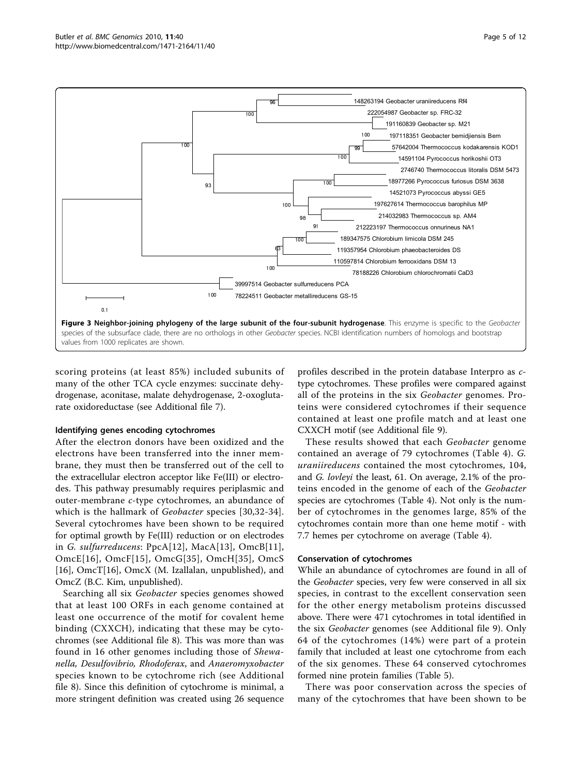<span id="page-4-0"></span>

scoring proteins (at least 85%) included subunits of many of the other TCA cycle enzymes: succinate dehydrogenase, aconitase, malate dehydrogenase, 2-oxoglutarate oxidoreductase (see Additional file [7](#page-9-0)).

#### Identifying genes encoding cytochromes

After the electron donors have been oxidized and the electrons have been transferred into the inner membrane, they must then be transferred out of the cell to the extracellular electron acceptor like Fe(III) or electrodes. This pathway presumably requires periplasmic and outer-membrane c-type cytochromes, an abundance of which is the hallmark of Geobacter species [\[30,32](#page-10-0)-[34](#page-11-0)]. Several cytochromes have been shown to be required for optimal growth by Fe(III) reduction or on electrodes in G. sulfurreducens: PpcA[[12](#page-10-0)], MacA[[13](#page-10-0)], OmcB[[11](#page-10-0)], OmcE[\[16\]](#page-10-0), OmcF[[15\]](#page-10-0), OmcG[[35](#page-11-0)], OmcH[[35](#page-11-0)], OmcS [[16\]](#page-10-0), OmcT[[16\]](#page-10-0), OmcX (M. Izallalan, unpublished), and OmcZ (B.C. Kim, unpublished).

Searching all six Geobacter species genomes showed that at least 100 ORFs in each genome contained at least one occurrence of the motif for covalent heme binding (CXXCH), indicating that these may be cytochromes (see Additional file [8\)](#page-9-0). This was more than was found in 16 other genomes including those of Shewanella, Desulfovibrio, Rhodoferax, and Anaeromyxobacter species known to be cytochrome rich (see Additional file [8\)](#page-9-0). Since this definition of cytochrome is minimal, a more stringent definition was created using 26 sequence

profiles described in the protein database Interpro as ctype cytochromes. These profiles were compared against all of the proteins in the six Geobacter genomes. Proteins were considered cytochromes if their sequence contained at least one profile match and at least one CXXCH motif (see Additional file [9\)](#page-10-0).

These results showed that each Geobacter genome contained an average of 79 cytochromes (Table [4\)](#page-6-0). G. uraniireducens contained the most cytochromes, 104, and G. lovleyi the least, 61. On average, 2.1% of the proteins encoded in the genome of each of the Geobacter species are cytochromes (Table [4\)](#page-6-0). Not only is the number of cytochromes in the genomes large, 85% of the cytochromes contain more than one heme motif - with 7.7 hemes per cytochrome on average (Table [4](#page-6-0)).

#### Conservation of cytochromes

While an abundance of cytochromes are found in all of the Geobacter species, very few were conserved in all six species, in contrast to the excellent conservation seen for the other energy metabolism proteins discussed above. There were 471 cytochromes in total identified in the six Geobacter genomes (see Additional file [9](#page-10-0)). Only 64 of the cytochromes (14%) were part of a protein family that included at least one cytochrome from each of the six genomes. These 64 conserved cytochromes formed nine protein families (Table [5](#page-7-0)).

There was poor conservation across the species of many of the cytochromes that have been shown to be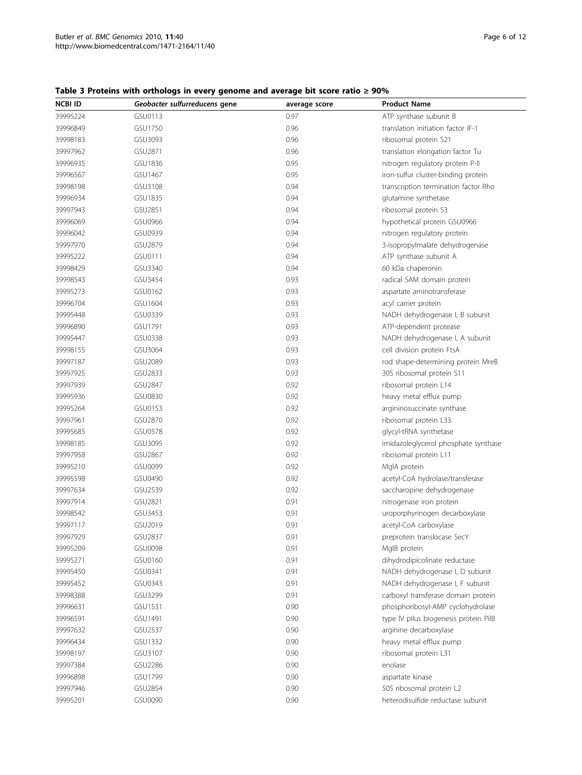<span id="page-5-0"></span>

| Table 3 Proteins with orthologs in every genome and average bit score ratio $\geq 90\%$ |  |  |  |  |
|-----------------------------------------------------------------------------------------|--|--|--|--|
|-----------------------------------------------------------------------------------------|--|--|--|--|

| <b>NCBI ID</b> | Geobacter sulfurreducens gene | average score | <b>Product Name</b>                   |
|----------------|-------------------------------|---------------|---------------------------------------|
| 39995224       | GSU0113                       | 0.97          | ATP synthase subunit B                |
| 39996849       | GSU1750                       | 0.96          | translation initiation factor IF-1    |
| 39998183       | GSU3093                       | 0.96          | ribosomal protein S21                 |
| 39997962       | GSU2871                       | 0.96          | translation elongation factor Tu      |
| 39996935       | GSU1836                       | 0.95          | nitrogen regulatory protein P-II      |
| 39996567       | GSU1467                       | 0.95          | iron-sulfur cluster-binding protein   |
| 39998198       | GSU3108                       | 0.94          | transcription termination factor Rho  |
| 39996934       | GSU1835                       | 0.94          | glutamine synthetase                  |
| 39997943       | GSU2851                       | 0.94          | ribosomal protein S3                  |
| 39996069       | GSU0966                       | 0.94          | hypothetical protein GSU0966          |
| 39996042       | GSU0939                       | 0.94          | nitrogen regulatory protein           |
| 39997970       | GSU2879                       | 0.94          | 3-isopropylmalate dehydrogenase       |
| 39995222       | GSU0111                       | 0.94          | ATP synthase subunit A                |
| 39998429       | GSU3340                       | 0.94          | 60 kDa chaperonin                     |
| 39998543       | GSU3454                       | 0.93          | radical SAM domain protein            |
| 39995273       | GSU0162                       | 0.93          | aspartate aminotransferase            |
| 39996704       | GSU1604                       | 0.93          | acyl carrier protein                  |
| 39995448       | GSU0339                       | 0.93          | NADH dehydrogenase I, B subunit       |
| 39996890       | GSU1791                       | 0.93          | ATP-dependent protease                |
| 39995447       | GSU0338                       | 0.93          | NADH dehydrogenase I, A subunit       |
| 39998155       | GSU3064                       | 0.93          | cell division protein FtsA            |
| 39997187       | GSU2089                       | 0.93          | rod shape-determining protein MreB    |
| 39997925       | GSU2833                       | 0.93          | 30S ribosomal protein S11             |
| 39997939       | GSU2847                       | 0.92          | ribosomal protein L14                 |
| 39995936       | GSU0830                       | 0.92          | heavy metal efflux pump               |
| 39995264       | GSU0153                       | 0.92          | argininosuccinate synthase            |
| 39997961       | GSU2870                       | 0.92          | ribosomal protein L33                 |
| 39995685       | GSU0578                       | 0.92          | glycyl-tRNA synthetase                |
| 39998185       | GSU3095                       | 0.92          | imidazoleglycerol phosphate synthase  |
| 39997958       | GSU2867                       | 0.92          | ribosomal protein L11                 |
| 39995210       | GSU0099                       | 0.92          | MgIA protein                          |
| 39995598       | GSU0490                       | 0.92          | acetyl-CoA hydrolase/transferase      |
| 39997634       | GSU2539                       | 0.92          | saccharopine dehydrogenase            |
| 39997914       | GSU2821                       | 0.91          | nitrogenase iron protein              |
| 39998542       | GSU3453                       | 0.91          | uroporphyrinogen decarboxylase        |
| 39997117       | GSU2019                       | 0.91          | acetyl-CoA carboxylase                |
| 39997929       | GSU2837                       | 0.91          | preprotein translocase SecY           |
| 39995209       | GSU0098                       | 0.91          | MgIB protein                          |
| 39995271       | GSU0160                       | 0.91          | dihydrodipicolinate reductase         |
| 39995450       | GSU0341                       | 0.91          | NADH dehydrogenase I, D subunit       |
| 39995452       | GSU0343                       | 0.91          | NADH dehydrogenase I, F subunit       |
| 39998388       | GSU3299                       | 0.91          | carboxyl transferase domain protein   |
| 39996631       | GSU1531                       | 0.90          | phosphoribosyl-AMP cyclohydrolase     |
| 39996591       | GSU1491                       | 0.90          | type IV pilus biogenesis protein PilB |
| 39997632       | GSU2537                       | 0.90          | arginine decarboxylase                |
| 39996434       | GSU1332                       | 0.90          | heavy metal efflux pump               |
| 39998197       | GSU3107                       | 0.90          | ribosomal protein L31                 |
| 39997384       | GSU2286                       | 0.90          | enolase                               |
| 39996898       | GSU1799                       | 0.90          | aspartate kinase                      |
| 39997946       | GSU2854                       | 0.90          | 50S ribosomal protein L2              |
| 39995201       | GSU0090                       | 0.90          | heterodisulfide reductase subunit     |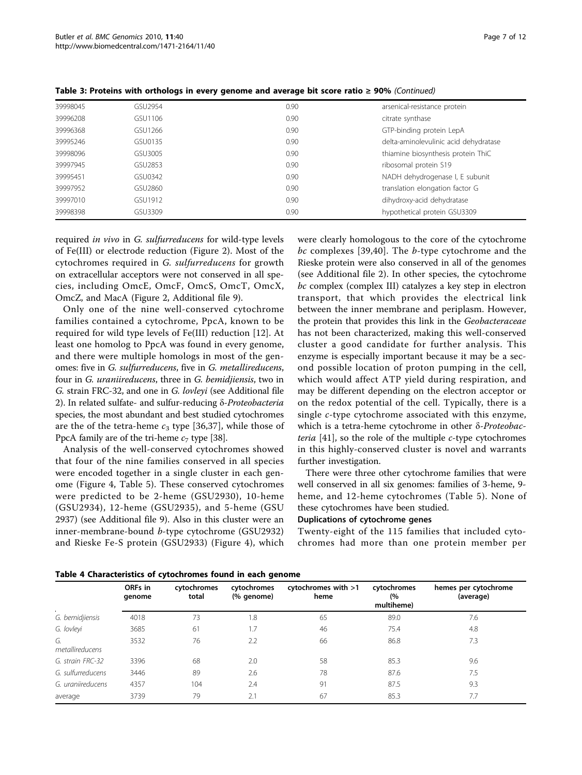| 39998045 | GSU <sub>2954</sub> | 0.90 | arsenical-resistance protein          |
|----------|---------------------|------|---------------------------------------|
| 39996208 | GSU1106             | 0.90 | citrate synthase                      |
| 39996368 | GSU1266             | 0.90 | GTP-binding protein LepA              |
| 39995246 | GSU0135             | 0.90 | delta-aminolevulinic acid dehydratase |
| 39998096 | GSU3005             | 0.90 | thiamine biosynthesis protein ThiC    |
| 39997945 | GSU2853             | 0.90 | ribosomal protein S19                 |
| 39995451 | GSU0342             | 0.90 | NADH dehydrogenase I, E subunit       |
| 39997952 | GSU2860             | 0.90 | translation elongation factor G       |
| 39997010 | GSU1912             | 0.90 | dihydroxy-acid dehydratase            |
| 39998398 | GSU3309             | 0.90 | hypothetical protein GSU3309          |

<span id="page-6-0"></span>Table 3: Proteins with orthologs in every genome and average bit score ratio ≥ 90% (Continued)

required in vivo in G. sulfurreducens for wild-type levels of Fe(III) or electrode reduction (Figure [2](#page-3-0)). Most of the cytochromes required in G. sulfurreducens for growth on extracellular acceptors were not conserved in all species, including OmcE, OmcF, OmcS, OmcT, OmcX, OmcZ, and MacA (Figure [2](#page-3-0), Additional file [9](#page-10-0)).

Only one of the nine well-conserved cytochrome families contained a cytochrome, PpcA, known to be required for wild type levels of Fe(III) reduction [[12\]](#page-10-0). At least one homolog to PpcA was found in every genome, and there were multiple homologs in most of the genomes: five in G. sulfurreducens, five in G. metallireducens, four in G. uraniireducens, three in G. bemidjiensis, two in G. strain FRC-32, and one in G. lovleyi (see Additional file [2\)](#page-9-0). In related sulfate- and sulfur-reducing δ-Proteobacteria species, the most abundant and best studied cytochromes are the of the tetra-heme  $c_3$  type [[36,37](#page-11-0)], while those of PpcA family are of the tri-heme  $c_7$  type [\[38\]](#page-11-0).

Analysis of the well-conserved cytochromes showed that four of the nine families conserved in all species were encoded together in a single cluster in each genome (Figure [4,](#page-7-0) Table [5](#page-7-0)). These conserved cytochromes were predicted to be 2-heme (GSU2930), 10-heme (GSU2934), 12-heme (GSU2935), and 5-heme (GSU 2937) (see Additional file [9](#page-10-0)). Also in this cluster were an inner-membrane-bound b-type cytochrome (GSU2932) and Rieske Fe-S protein (GSU2933) (Figure [4\)](#page-7-0), which were clearly homologous to the core of the cytochrome  $bc$  complexes [[39,40](#page-11-0)]. The  $b$ -type cytochrome and the Rieske protein were also conserved in all of the genomes (see Additional file [2](#page-9-0)). In other species, the cytochrome bc complex (complex III) catalyzes a key step in electron transport, that which provides the electrical link between the inner membrane and periplasm. However, the protein that provides this link in the Geobacteraceae has not been characterized, making this well-conserved cluster a good candidate for further analysis. This enzyme is especially important because it may be a second possible location of proton pumping in the cell, which would affect ATP yield during respiration, and may be different depending on the electron acceptor or on the redox potential of the cell. Typically, there is a single c-type cytochrome associated with this enzyme, which is a tetra-heme cytochrome in other δ-*Proteobac*teria  $[41]$  $[41]$ , so the role of the multiple  $c$ -type cytochromes in this highly-conserved cluster is novel and warrants further investigation.

There were three other cytochrome families that were well conserved in all six genomes: families of 3-heme, 9 heme, and 12-heme cytochromes (Table [5](#page-7-0)). None of these cytochromes have been studied.

#### Duplications of cytochrome genes

Twenty-eight of the 115 families that included cytochromes had more than one protein member per

Table 4 Characteristics of cytochromes found in each genome

|                       | ORFs in<br>genome | cytochromes<br>total | cytochromes<br>(% genome) | cytochromes with >1<br>heme | cytochromes<br>(%<br>multiheme) | hemes per cytochrome<br>(average) |
|-----------------------|-------------------|----------------------|---------------------------|-----------------------------|---------------------------------|-----------------------------------|
| G. bemidjiensis       | 4018              | 73                   | 1.8                       | 65                          | 89.0                            | 7.6                               |
| G. lovleyi            | 3685              | 61                   | 1.7                       | 46                          | 75.4                            | 4.8                               |
| G.<br>metallireducens | 3532              | 76                   | 2.2                       | 66                          | 86.8                            | 7.3                               |
| G. strain FRC-32      | 3396              | 68                   | 2.0                       | 58                          | 85.3                            | 9.6                               |
| G. sulfurreducens     | 3446              | 89                   | 2.6                       | 78                          | 87.6                            | 7.5                               |
| G. uraniireducens     | 4357              | 104                  | 2.4                       | 91                          | 87.5                            | 9.3                               |
| average               | 3739              | 79                   | 2.1                       | 67                          | 85.3                            | 7.7                               |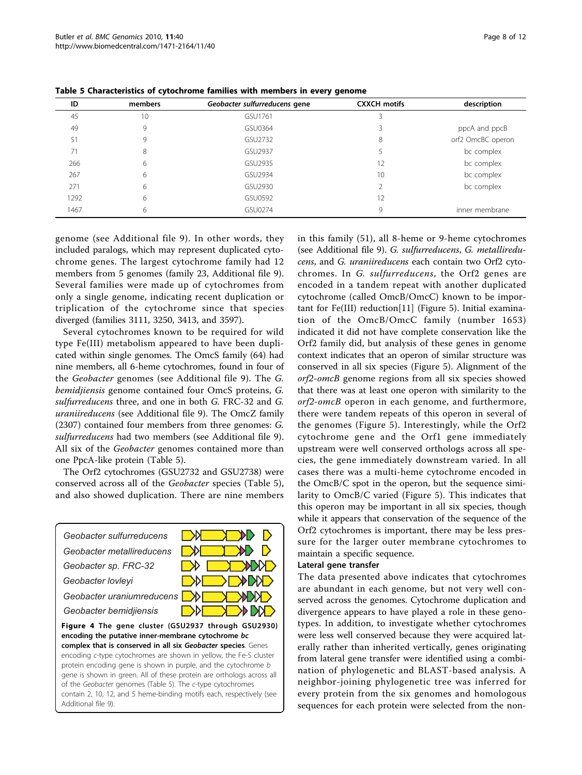| ID   | members | Geobacter sulfurreducens gene | <b>CXXCH</b> motifs | description       |
|------|---------|-------------------------------|---------------------|-------------------|
| 45   | 10      | GSU1761                       |                     |                   |
| 49   | 9       | GSU0364                       |                     | ppcA and ppcB     |
| 51   | 9       | GSU2732                       | 8                   | orf2 OmcBC operon |
|      | 8       | GSU2937                       |                     | bc complex        |
| 266  | 6       | GSU2935                       | 12                  | bc complex        |
| 267  | 6       | GSU2934                       | 10                  | bc complex        |
| 271  | 6       | GSU2930                       |                     | bc complex        |
| 1292 | 6       | GSU0592                       | 12                  |                   |
| 1467 | 6       | GSU0274                       | 9                   | inner membrane    |

<span id="page-7-0"></span>Table 5 Characteristics of cytochrome families with members in every genome

genome (see Additional file [9](#page-10-0)). In other words, they included paralogs, which may represent duplicated cytochrome genes. The largest cytochrome family had 12 members from 5 genomes (family 23, Additional file [9](#page-10-0)). Several families were made up of cytochromes from only a single genome, indicating recent duplication or triplication of the cytochrome since that species diverged (families 3111, 3250, 3413, and 3597).

Several cytochromes known to be required for wild type Fe(III) metabolism appeared to have been duplicated within single genomes. The OmcS family (64) had nine members, all 6-heme cytochromes, found in four of the Geobacter genomes (see Additional file [9\)](#page-10-0). The G. bemidjiensis genome contained four OmcS proteins, G. sulfurreducens three, and one in both G. FRC-32 and G. uraniireducens (see Additional file [9](#page-10-0)). The OmcZ family (2307) contained four members from three genomes: G. sulfurreducens had two members (see Additional file [9](#page-10-0)). All six of the Geobacter genomes contained more than one PpcA-like protein (Table 5).

The Orf2 cytochromes (GSU2732 and GSU2738) were conserved across all of the Geobacter species (Table 5), and also showed duplication. There are nine members



in this family (51), all 8-heme or 9-heme cytochromes (see Additional file [9\)](#page-10-0). G. sulfurreducens, G. metallireducens, and G. uraniireducens each contain two Orf2 cytochromes. In G. sulfurreducens, the Orf2 genes are encoded in a tandem repeat with another duplicated cytochrome (called OmcB/OmcC) known to be important for Fe(III) reduction[[11\]](#page-10-0) (Figure [5\)](#page-8-0). Initial examination of the OmcB/OmcC family (number 1653) indicated it did not have complete conservation like the Orf2 family did, but analysis of these genes in genome context indicates that an operon of similar structure was conserved in all six species (Figure [5](#page-8-0)). Alignment of the orf2-omcB genome regions from all six species showed that there was at least one operon with similarity to the orf2-omcB operon in each genome, and furthermore, there were tandem repeats of this operon in several of the genomes (Figure [5\)](#page-8-0). Interestingly, while the Orf2 cytochrome gene and the Orf1 gene immediately upstream were well conserved orthologs across all species, the gene immediately downstream varied. In all cases there was a multi-heme cytochrome encoded in the OmcB/C spot in the operon, but the sequence similarity to OmcB/C varied (Figure [5](#page-8-0)). This indicates that this operon may be important in all six species, though while it appears that conservation of the sequence of the Orf2 cytochromes is important, there may be less pressure for the larger outer membrane cytochromes to maintain a specific sequence.

### Lateral gene transfer

The data presented above indicates that cytochromes are abundant in each genome, but not very well conserved across the genomes. Cytochrome duplication and divergence appears to have played a role in these genotypes. In addition, to investigate whether cytochromes were less well conserved because they were acquired laterally rather than inherited vertically, genes originating from lateral gene transfer were identified using a combination of phylogenetic and BLAST-based analysis. A neighbor-joining phylogenetic tree was inferred for every protein from the six genomes and homologous sequences for each protein were selected from the non-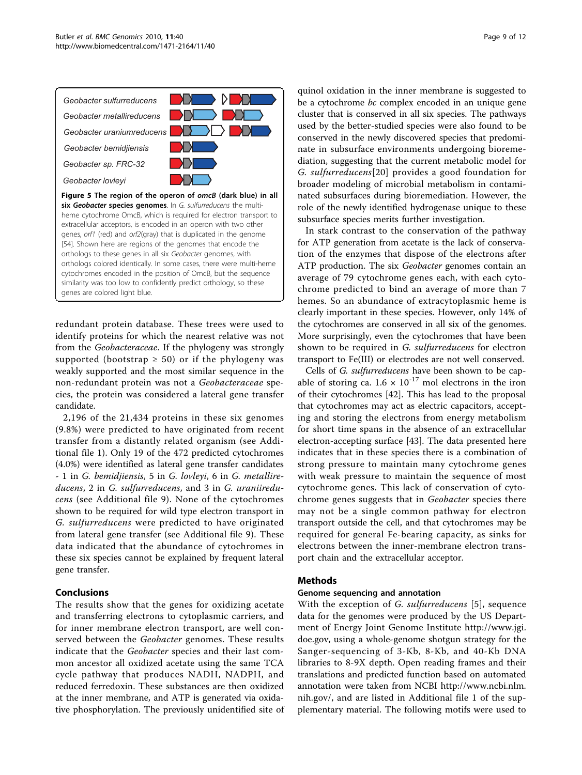<span id="page-8-0"></span>

redundant protein database. These trees were used to identify proteins for which the nearest relative was not from the Geobacteraceae. If the phylogeny was strongly supported (bootstrap  $\geq$  50) or if the phylogeny was weakly supported and the most similar sequence in the non-redundant protein was not a Geobacteraceae species, the protein was considered a lateral gene transfer candidate.

2,196 of the 21,434 proteins in these six genomes (9.8%) were predicted to have originated from recent transfer from a distantly related organism (see Additional file [1](#page-9-0)). Only 19 of the 472 predicted cytochromes (4.0%) were identified as lateral gene transfer candidates - 1 in G. bemidjiensis, 5 in G. lovleyi, 6 in G. metallireducens, 2 in G. sulfurreducens, and 3 in G. uraniireducens (see Additional file [9](#page-10-0)). None of the cytochromes shown to be required for wild type electron transport in G. sulfurreducens were predicted to have originated from lateral gene transfer (see Additional file [9\)](#page-10-0). These data indicated that the abundance of cytochromes in these six species cannot be explained by frequent lateral gene transfer.

### Conclusions

The results show that the genes for oxidizing acetate and transferring electrons to cytoplasmic carriers, and for inner membrane electron transport, are well conserved between the *Geobacter* genomes. These results indicate that the Geobacter species and their last common ancestor all oxidized acetate using the same TCA cycle pathway that produces NADH, NADPH, and reduced ferredoxin. These substances are then oxidized at the inner membrane, and ATP is generated via oxidative phosphorylation. The previously unidentified site of

quinol oxidation in the inner membrane is suggested to be a cytochrome bc complex encoded in an unique gene cluster that is conserved in all six species. The pathways used by the better-studied species were also found to be conserved in the newly discovered species that predominate in subsurface environments undergoing bioremediation, suggesting that the current metabolic model for G. sulfurreducens[\[20\]](#page-10-0) provides a good foundation for broader modeling of microbial metabolism in contaminated subsurfaces during bioremediation. However, the role of the newly identified hydrogenase unique to these subsurface species merits further investigation.

In stark contrast to the conservation of the pathway for ATP generation from acetate is the lack of conservation of the enzymes that dispose of the electrons after ATP production. The six Geobacter genomes contain an average of 79 cytochrome genes each, with each cytochrome predicted to bind an average of more than 7 hemes. So an abundance of extracytoplasmic heme is clearly important in these species. However, only 14% of the cytochromes are conserved in all six of the genomes. More surprisingly, even the cytochromes that have been shown to be required in G. sulfurreducens for electron transport to Fe(III) or electrodes are not well conserved.

Cells of G. sulfurreducens have been shown to be capable of storing ca.  $1.6 \times 10^{-17}$  mol electrons in the iron of their cytochromes [[42\]](#page-11-0). This has lead to the proposal that cytochromes may act as electric capacitors, accepting and storing the electrons from energy metabolism for short time spans in the absence of an extracellular electron-accepting surface [[43\]](#page-11-0). The data presented here indicates that in these species there is a combination of strong pressure to maintain many cytochrome genes with weak pressure to maintain the sequence of most cytochrome genes. This lack of conservation of cytochrome genes suggests that in Geobacter species there may not be a single common pathway for electron transport outside the cell, and that cytochromes may be required for general Fe-bearing capacity, as sinks for electrons between the inner-membrane electron transport chain and the extracellular acceptor.

## Methods

### Genome sequencing and annotation

With the exception of G. sulfurreducens [\[5\]](#page-10-0), sequence data for the genomes were produced by the US Department of Energy Joint Genome Institute [http://www.jgi.](http://www.jgi.doe.gov) [doe.gov](http://www.jgi.doe.gov), using a whole-genome shotgun strategy for the Sanger-sequencing of 3-Kb, 8-Kb, and 40-Kb DNA libraries to 8-9X depth. Open reading frames and their translations and predicted function based on automated annotation were taken from NCBI [http://www.ncbi.nlm.](http://www.ncbi.nlm.nih.gov/) [nih.gov/](http://www.ncbi.nlm.nih.gov/), and are listed in Additional file [1](#page-9-0) of the supplementary material. The following motifs were used to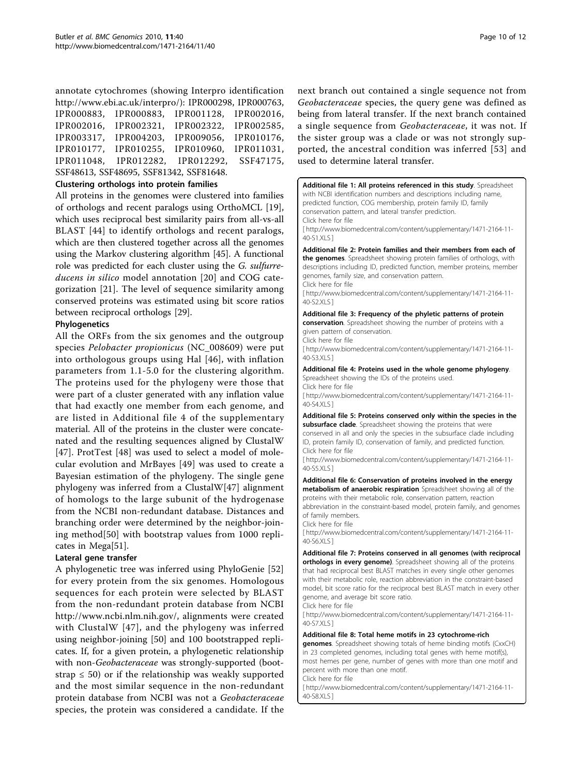<span id="page-9-0"></span>

| annotate cytochromes (showing Interpro identification  |                                         |                                             |            |  |  |  |
|--------------------------------------------------------|-----------------------------------------|---------------------------------------------|------------|--|--|--|
| http://www.ebi.ac.uk/interpro/): IPR000298, IPR000763, |                                         |                                             |            |  |  |  |
|                                                        |                                         | IPR000883, IPR000883, IPR001128, IPR002016, |            |  |  |  |
| IPR002016,                                             | IPR002321, IPR002322,                   |                                             | IPR002585, |  |  |  |
| IPR003317.                                             | IPR004203.                              | IPR009056,                                  | IPR010176, |  |  |  |
| IPR010177,                                             | IPR010255,                              | IPR010960,                                  | IPR011031, |  |  |  |
| IPR011048.                                             | IPR012282.                              | IPR012292.                                  | SSF47175,  |  |  |  |
|                                                        | SSF48613, SSF48695, SSF81342, SSF81648. |                                             |            |  |  |  |

#### Clustering orthologs into protein families

All proteins in the genomes were clustered into families of orthologs and recent paralogs using OrthoMCL [\[19](#page-10-0)], which uses reciprocal best similarity pairs from all-vs-all BLAST [\[44\]](#page-11-0) to identify orthologs and recent paralogs, which are then clustered together across all the genomes using the Markov clustering algorithm [\[45\]](#page-11-0). A functional role was predicted for each cluster using the G. sulfurreducens in silico model annotation [\[20](#page-10-0)] and COG categorization [[21](#page-10-0)]. The level of sequence similarity among conserved proteins was estimated using bit score ratios between reciprocal orthologs [[29](#page-10-0)].

#### Phylogenetics

All the ORFs from the six genomes and the outgroup species Pelobacter propionicus (NC\_008609) were put into orthologous groups using Hal [[46](#page-11-0)], with inflation parameters from 1.1-5.0 for the clustering algorithm. The proteins used for the phylogeny were those that were part of a cluster generated with any inflation value that had exactly one member from each genome, and are listed in Additional file 4 of the supplementary material. All of the proteins in the cluster were concatenated and the resulting sequences aligned by ClustalW [[47\]](#page-11-0). ProtTest [[48\]](#page-11-0) was used to select a model of molecular evolution and MrBayes [[49\]](#page-11-0) was used to create a Bayesian estimation of the phylogeny. The single gene phylogeny was inferred from a ClustalW[[47](#page-11-0)] alignment of homologs to the large subunit of the hydrogenase from the NCBI non-redundant database. Distances and branching order were determined by the neighbor-joining method[[50\]](#page-11-0) with bootstrap values from 1000 replicates in Mega[[51\]](#page-11-0).

#### Lateral gene transfer

A phylogenetic tree was inferred using PhyloGenie [\[52](#page-11-0)] for every protein from the six genomes. Homologous sequences for each protein were selected by BLAST from the non-redundant protein database from NCBI <http://www.ncbi.nlm.nih.gov/>, alignments were created with ClustalW [[47](#page-11-0)], and the phylogeny was inferred using neighbor-joining [[50](#page-11-0)] and 100 bootstrapped replicates. If, for a given protein, a phylogenetic relationship with non-Geobacteraceae was strongly-supported (bootstrap  $\leq$  50) or if the relationship was weakly supported and the most similar sequence in the non-redundant protein database from NCBI was not a Geobacteraceae species, the protein was considered a candidate. If the

next branch out contained a single sequence not from Geobacteraceae species, the query gene was defined as being from lateral transfer. If the next branch contained a single sequence from Geobacteraceae, it was not. If the sister group was a clade or was not strongly supported, the ancestral condition was inferred [[53\]](#page-11-0) and used to determine lateral transfer.

Additional file 1: All proteins referenced in this study. Spreadsheet with NCBI identification numbers and descriptions including name. predicted function, COG membership, protein family ID, family conservation pattern, and lateral transfer prediction. Click here for file [ http://www.biomedcentral.com/content/supplementary/1471-2164-11- 40-S1.XLS ] Additional file 2: Protein families and their members from each of the genomes. Spreadsheet showing protein families of orthologs, with descriptions including ID, predicted function, member proteins, member genomes, family size, and conservation pattern. Click here for file [ http://www.biomedcentral.com/content/supplementary/1471-2164-11- 40-S2.XLS ] Additional file 3: Frequency of the phyletic patterns of protein conservation. Spreadsheet showing the number of proteins with a given pattern of conservation. Click here for file [ http://www.biomedcentral.com/content/supplementary/1471-2164-11- 40-S3.XLS ] Additional file 4: Proteins used in the whole genome phylogeny. Spreadsheet showing the IDs of the proteins used. Click here for file [ http://www.biomedcentral.com/content/supplementary/1471-2164-11- 40-S4.XLS ] Additional file 5: Proteins conserved only within the species in the subsurface clade. Spreadsheet showing the proteins that were conserved in all and only the species in the subsurface clade including ID, protein family ID, conservation of family, and predicted function. Click here for file [ http://www.biomedcentral.com/content/supplementary/1471-2164-11- 40-S5.XLS ] Additional file 6: Conservation of proteins involved in the energy **metabolism of anaerobic respiration** Spreadsheet showing all of the proteins with their metabolic role, conservation pattern, reaction abbreviation in the constraint-based model, protein family, and genomes of family members. Click here for file [ http://www.biomedcentral.com/content/supplementary/1471-2164-11- 40-S6.XLS ] Additional file 7: Proteins conserved in all genomes (with reciprocal orthologs in every genome). Spreadsheet showing all of the proteins that had reciprocal best BLAST matches in every single other genomes with their metabolic role, reaction abbreviation in the constraint-based model, bit score ratio for the reciprocal best BLAST match in every other genome, and average bit score ratio. Click here for file [ http://www.biomedcentral.com/content/supplementary/1471-2164-11- 40-S7.XLS ] Additional file 8: Total heme motifs in 23 cytochrome-rich genomes. Spreadsheet showing totals of heme binding motifs (CxxCH) in 23 completed genomes, including total genes with heme motif(s), most hemes per gene, number of genes with more than one motif and percent with more than one motif. Click here for file [ http://www.biomedcentral.com/content/supplementary/1471-2164-11- 40-S8.XLS ]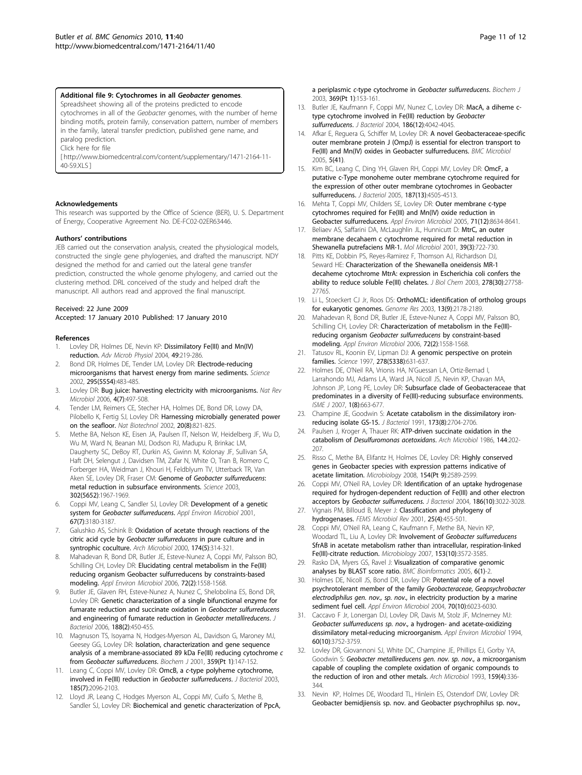#### <span id="page-10-0"></span>Additional file 9: Cytochromes in all Geobacter genomes.

Spreadsheet showing all of the proteins predicted to encode

cytochromes in all of the Geobacter genomes, with the number of heme binding motifs, protein family, conservation pattern, number of members in the family, lateral transfer prediction, published gene name, and paralog prediction.

Click here for file

[ http://www.biomedcentral.com/content/supplementary/1471-2164-11- 40-S9.XLS ]

#### Acknowledgements

This research was supported by the Office of Science (BER), U. S. Department of Energy, Cooperative Agreement No. DE-FC02-02ER63446.

#### Authors' contributions

JEB carried out the conservation analysis, created the physiological models, constructed the single gene phylogenies, and drafted the manuscript. NDY designed the method for and carried out the lateral gene transfer prediction, constructed the whole genome phylogeny, and carried out the clustering method. DRL conceived of the study and helped draft the manuscript. All authors read and approved the final manuscript.

#### Received: 22 June 2009

Accepted: 17 January 2010 Published: 17 January 2010

#### References

- 1. Lovley DR, Holmes DE, Nevin KP: [Dissimilatory Fe\(III\) and Mn\(IV\)](http://www.ncbi.nlm.nih.gov/pubmed/15518832?dopt=Abstract) [reduction.](http://www.ncbi.nlm.nih.gov/pubmed/15518832?dopt=Abstract) Adv Microb Physiol 2004, 49:219-286.
- Bond DR, Holmes DE, Tender LM, Lovley DR: [Electrode-reducing](http://www.ncbi.nlm.nih.gov/pubmed/11799240?dopt=Abstract) [microorganisms that harvest energy from marine sediments.](http://www.ncbi.nlm.nih.gov/pubmed/11799240?dopt=Abstract) Science 2002, 295(5554):483-485.
- 3. Lovley DR: [Bug juice: harvesting electricity with microorganisms.](http://www.ncbi.nlm.nih.gov/pubmed/16778836?dopt=Abstract) Nat Rev Microbiol 2006, 4(7):497-508.
- 4. Tender LM, Reimers CE, Stecher HA, Holmes DE, Bond DR, Lowy DA, Pilobello K, Fertig SJ, Lovley DR: [Harnessing microbially generated power](http://www.ncbi.nlm.nih.gov/pubmed/12091916?dopt=Abstract) [on the seafloor.](http://www.ncbi.nlm.nih.gov/pubmed/12091916?dopt=Abstract) Nat Biotechnol 2002, 20(8):821-825.
- 5. Methe BA, Nelson KE, Eisen JA, Paulsen IT, Nelson W, Heidelberg JF, Wu D, Wu M, Ward N, Beanan MJ, Dodson RJ, Madupu R, Brinkac LM, Daugherty SC, DeBoy RT, Durkin AS, Gwinn M, Kolonay JF, Sullivan SA, Haft DH, Selengut J, Davidsen TM, Zafar N, White O, Tran B, Romero C, Forberger HA, Weidman J, Khouri H, Feldblyum TV, Utterback TR, Van Aken SE, Lovley DR, Fraser CM: Genome of [Geobacter sulfurreducens](http://www.ncbi.nlm.nih.gov/pubmed/14671304?dopt=Abstract): [metal reduction in subsurface environments.](http://www.ncbi.nlm.nih.gov/pubmed/14671304?dopt=Abstract) Science 2003, 302(5652):1967-1969.
- Coppi MV, Leang C, Sandler SJ, Lovley DR: [Development of a genetic](http://www.ncbi.nlm.nih.gov/pubmed/11425739?dopt=Abstract) system for [Geobacter sulfurreducens](http://www.ncbi.nlm.nih.gov/pubmed/11425739?dopt=Abstract). Appl Environ Microbiol 2001, 67(7):3180-3187.
- 7. Galushko AS, Schink B: [Oxidation of acetate through reactions of the](http://www.ncbi.nlm.nih.gov/pubmed/11131021?dopt=Abstract) citric acid cycle by [Geobacter sulfurreducens](http://www.ncbi.nlm.nih.gov/pubmed/11131021?dopt=Abstract) in pure culture and in [syntrophic coculture.](http://www.ncbi.nlm.nih.gov/pubmed/11131021?dopt=Abstract) Arch Microbiol 2000, 174(5):314-321.
- 8. Mahadevan R, Bond DR, Butler JE, Esteve-Nunez A, Coppi MV, Palsson BO, Schilling CH, Lovley DR: [Elucidating central metabolism in the Fe\(III\)](http://www.ncbi.nlm.nih.gov/pubmed/16461711?dopt=Abstract) [reducing organism Geobacter sulfurreducens by constraints-based](http://www.ncbi.nlm.nih.gov/pubmed/16461711?dopt=Abstract) [modeling.](http://www.ncbi.nlm.nih.gov/pubmed/16461711?dopt=Abstract) Appl Environ Microbiol 2006, 72(2):1558-1568.
- 9. Butler JE, Glaven RH, Esteve-Nunez A, Nunez C, Shelobolina ES, Bond DR, Lovley DR: [Genetic characterization of a single bifunctional enzyme for](http://www.ncbi.nlm.nih.gov/pubmed/16385034?dopt=Abstract) [fumarate reduction and succinate oxidation in](http://www.ncbi.nlm.nih.gov/pubmed/16385034?dopt=Abstract) Geobacter sulfurreducens [and engineering of fumarate reduction in](http://www.ncbi.nlm.nih.gov/pubmed/16385034?dopt=Abstract) Geobacter metallireducens. J Bacteriol 2006, 188(2):450-455.
- 10. Magnuson TS, Isoyama N, Hodges-Myerson AL, Davidson G, Maroney MJ, Geesey GG, Lovley DR: [Isolation, characterization and gene sequence](http://www.ncbi.nlm.nih.gov/pubmed/11563978?dopt=Abstract) [analysis of a membrane-associated 89 kDa Fe\(III\) reducing cytochrome](http://www.ncbi.nlm.nih.gov/pubmed/11563978?dopt=Abstract) c from [Geobacter sulfurreducens](http://www.ncbi.nlm.nih.gov/pubmed/11563978?dopt=Abstract). Biochem J 2001, 359(Pt 1):147-152.
- 11. Leang C, Coppi MV, Lovley DR: OmcB, a c[-type polyheme cytochrome,](http://www.ncbi.nlm.nih.gov/pubmed/12644478?dopt=Abstract) [involved in Fe\(III\) reduction in](http://www.ncbi.nlm.nih.gov/pubmed/12644478?dopt=Abstract) Geobacter sulfurreducens. J Bacteriol 2003, 185(7):2096-2103.
- 12. Lloyd JR, Leang C, Hodges Myerson AL, Coppi MV, Cuifo S, Methe B, Sandler SJ, Lovley DR: [Biochemical and genetic characterization of PpcA,](http://www.ncbi.nlm.nih.gov/pubmed/12356333?dopt=Abstract)

a periplasmic c-type cytochrome in [Geobacter sulfurreducens](http://www.ncbi.nlm.nih.gov/pubmed/12356333?dopt=Abstract). Biochem J 2003, 369(Pt 1):153-161.

- 13. Butler JE, Kaufmann F, Coppi MV, Nunez C, Lovley DR: [MacA, a diheme c](http://www.ncbi.nlm.nih.gov/pubmed/15175321?dopt=Abstract)[type cytochrome involved in Fe\(III\) reduction by](http://www.ncbi.nlm.nih.gov/pubmed/15175321?dopt=Abstract) Geobacter [sulfurreducens](http://www.ncbi.nlm.nih.gov/pubmed/15175321?dopt=Abstract). J Bacteriol 2004, 186(12):4042-4045.
- 14. Afkar E, Requera G, Schiffer M, Lovley DR: [A novel Geobacteraceae-specific](http://www.ncbi.nlm.nih.gov/pubmed/16000176?dopt=Abstract) [outer membrane protein J \(OmpJ\) is essential for electron transport to](http://www.ncbi.nlm.nih.gov/pubmed/16000176?dopt=Abstract) [Fe\(III\) and Mn\(IV\) oxides in Geobacter sulfurreducens.](http://www.ncbi.nlm.nih.gov/pubmed/16000176?dopt=Abstract) BMC Microbiol 2005, 5(41).
- 15. Kim BC, Leang C, Ding YH, Glaven RH, Coppi MV, Lovley DR: [OmcF, a](http://www.ncbi.nlm.nih.gov/pubmed/15968061?dopt=Abstract) [putative c-Type monoheme outer membrane cytochrome required for](http://www.ncbi.nlm.nih.gov/pubmed/15968061?dopt=Abstract) [the expression of other outer membrane cytochromes in Geobacter](http://www.ncbi.nlm.nih.gov/pubmed/15968061?dopt=Abstract) [sulfurreducens.](http://www.ncbi.nlm.nih.gov/pubmed/15968061?dopt=Abstract) J Bacteriol 2005, 187(13):4505-4513.
- 16. Mehta T, Coppi MV, Childers SE, Lovley DR: [Outer membrane c-type](http://www.ncbi.nlm.nih.gov/pubmed/16332857?dopt=Abstract) [cytochromes required for Fe\(III\) and Mn\(IV\) oxide reduction in](http://www.ncbi.nlm.nih.gov/pubmed/16332857?dopt=Abstract) [Geobacter sulfurreducens.](http://www.ncbi.nlm.nih.gov/pubmed/16332857?dopt=Abstract) Appl Environ Microbiol 2005, 71(12):8634-8641.
- 17. Beliaev AS, Saffarini DA, McLaughlin JL, Hunnicutt D: [MtrC, an outer](http://www.ncbi.nlm.nih.gov/pubmed/11169112?dopt=Abstract) [membrane decahaem c cytochrome required for metal reduction in](http://www.ncbi.nlm.nih.gov/pubmed/11169112?dopt=Abstract) [Shewanella putrefaciens MR-1.](http://www.ncbi.nlm.nih.gov/pubmed/11169112?dopt=Abstract) Mol Microbiol 2001, 39(3):722-730.
- 18. Pitts KE, Dobbin PS, Reyes-Ramirez F, Thomson AJ, Richardson DJ, Seward HE: [Characterization of the Shewanella oneidensis MR-1](http://www.ncbi.nlm.nih.gov/pubmed/12732647?dopt=Abstract) [decaheme cytochrome MtrA: expression in Escherichia coli confers the](http://www.ncbi.nlm.nih.gov/pubmed/12732647?dopt=Abstract) [ability to reduce soluble Fe\(III\) chelates.](http://www.ncbi.nlm.nih.gov/pubmed/12732647?dopt=Abstract) J Biol Chem 2003, 278(30):27758- 27765.
- 19. Li L, Stoeckert CJ Jr, Roos DS: [OrthoMCL: identification of ortholog groups](http://www.ncbi.nlm.nih.gov/pubmed/12952885?dopt=Abstract) [for eukaryotic genomes.](http://www.ncbi.nlm.nih.gov/pubmed/12952885?dopt=Abstract) Genome Res 2003, 13(9):2178-2189.
- 20. Mahadevan R, Bond DR, Butler JE, Esteve-Nunez A, Coppi MV, Palsson BO, Schilling CH, Loyley DR: [Characterization of metabolism in the Fe\(III\)](http://www.ncbi.nlm.nih.gov/pubmed/16461711?dopt=Abstract) reducing organism [Geobacter sulfurreducens](http://www.ncbi.nlm.nih.gov/pubmed/16461711?dopt=Abstract) by constraint-based [modeling.](http://www.ncbi.nlm.nih.gov/pubmed/16461711?dopt=Abstract) Appl Environ Microbiol 2006, 72(2):1558-1568.
- 21. Tatusov RL, Koonin EV, Lipman DJ: [A genomic perspective on protein](http://www.ncbi.nlm.nih.gov/pubmed/9381173?dopt=Abstract) [families.](http://www.ncbi.nlm.nih.gov/pubmed/9381173?dopt=Abstract) Science 1997, 278(5338):631-637.
- 22. Holmes DE, O'Neil RA, Vrionis HA, N'Guessan LA, Ortiz-Bernad I, Larrahondo MJ, Adams LA, Ward JA, Nicoll JS, Nevin KP, Chavan MA, Johnson JP, Long PE, Lovley DR: [Subsurface clade of Geobacteraceae that](http://www.ncbi.nlm.nih.gov/pubmed/18059491?dopt=Abstract) [predominates in a diversity of Fe\(III\)-reducing subsurface environments.](http://www.ncbi.nlm.nih.gov/pubmed/18059491?dopt=Abstract) ISME J 2007, 1(8):663-677.
- 23. Champine JE, Goodwin S: [Acetate catabolism in the dissimilatory iron](http://www.ncbi.nlm.nih.gov/pubmed/1901574?dopt=Abstract)[reducing isolate GS-15.](http://www.ncbi.nlm.nih.gov/pubmed/1901574?dopt=Abstract) J Bacteriol 1991, 173(8):2704-2706.
- 24. Paulsen J, Kroger A, Thauer RK: ATP-driven succinate oxidation in the catabolism of Desulfuromonas acetoxidans. Arch Microbiol 1986, 144:202- 207.
- 25. Risso C, Methe BA, Elifantz H, Holmes DE, Lovley DR: [Highly conserved](http://www.ncbi.nlm.nih.gov/pubmed/18757793?dopt=Abstract) [genes in Geobacter species with expression patterns indicative of](http://www.ncbi.nlm.nih.gov/pubmed/18757793?dopt=Abstract) [acetate limitation.](http://www.ncbi.nlm.nih.gov/pubmed/18757793?dopt=Abstract) Microbiology 2008, 154(Pt 9):2589-2599.
- 26. Coppi MV, O'Neil RA, Lovley DR: [Identification of an uptake hydrogenase](http://www.ncbi.nlm.nih.gov/pubmed/15126463?dopt=Abstract) [required for hydrogen-dependent reduction of Fe\(III\) and other electron](http://www.ncbi.nlm.nih.gov/pubmed/15126463?dopt=Abstract) acceptors by [Geobacter sulfurreducens](http://www.ncbi.nlm.nih.gov/pubmed/15126463?dopt=Abstract). J Bacteriol 2004, 186(10):3022-3028.
- 27. Vignais PM, Billoud B, Meyer J: [Classification and phylogeny of](http://www.ncbi.nlm.nih.gov/pubmed/11524134?dopt=Abstract) [hydrogenases.](http://www.ncbi.nlm.nih.gov/pubmed/11524134?dopt=Abstract) FEMS Microbiol Rev 2001, 25(4):455-501.
- 28. Coppi MV, O'Neil RA, Leang C, Kaufmann F, Methe BA, Nevin KP, Woodard TL, Liu A, Lovley DR: Involvement of [Geobacter sulfurreducens](http://www.ncbi.nlm.nih.gov/pubmed/17906154?dopt=Abstract) [SfrAB in acetate metabolism rather than intracellular, respiration-linked](http://www.ncbi.nlm.nih.gov/pubmed/17906154?dopt=Abstract) [Fe\(III\)-citrate reduction.](http://www.ncbi.nlm.nih.gov/pubmed/17906154?dopt=Abstract) Microbiology 2007, 153(10):3572-3585.
- 29. Rasko DA, Myers GS, Ravel J: [Visualization of comparative genomic](http://www.ncbi.nlm.nih.gov/pubmed/15634352?dopt=Abstract) [analyses by BLAST score ratio.](http://www.ncbi.nlm.nih.gov/pubmed/15634352?dopt=Abstract) BMC Bioinformatics 2005, 6(1)-2.
- 30. Holmes DE, Nicoll JS, Bond DR, Lovley DR: [Potential role of a novel](http://www.ncbi.nlm.nih.gov/pubmed/15466546?dopt=Abstract) [psychrotolerant member of the family](http://www.ncbi.nlm.nih.gov/pubmed/15466546?dopt=Abstract) Geobacteraceae, Geopsychrobacter electrodiphilus gen. nov., sp. nov[., in electricity production by a marine](http://www.ncbi.nlm.nih.gov/pubmed/15466546?dopt=Abstract) [sediment fuel cell.](http://www.ncbi.nlm.nih.gov/pubmed/15466546?dopt=Abstract) Appl Environ Microbiol 2004, 70(10):6023-6030.
- 31. Caccavo F Jr, Lonergan DJ, Lovley DR, Davis M, Stolz JF, McInerney MJ: Geobacter sulfurreducens sp. nov[., a hydrogen- and acetate-oxidizing](http://www.ncbi.nlm.nih.gov/pubmed/7527204?dopt=Abstract) [dissimilatory metal-reducing microorganism.](http://www.ncbi.nlm.nih.gov/pubmed/7527204?dopt=Abstract) Appl Environ Microbiol 1994, 60(10):3752-3759.
- 32. Lovley DR, Giovannoni SJ, White DC, Champine JE, Phillips EJ, Gorby YA, Goodwin S: [Geobacter metallireducens gen. nov. sp. nov](http://www.ncbi.nlm.nih.gov/pubmed/8387263?dopt=Abstract)., a microorganism [capable of coupling the complete oxidation of organic compounds to](http://www.ncbi.nlm.nih.gov/pubmed/8387263?dopt=Abstract) [the reduction of iron and other metals.](http://www.ncbi.nlm.nih.gov/pubmed/8387263?dopt=Abstract) Arch Microbiol 1993, 159(4):336- 344.
- 33. Nevin KP, Holmes DE, Woodard TL, Hinlein ES, Ostendorf DW, Lovley DR: [Geobacter bemidjiensis sp. nov. and Geobacter psychrophilus sp. nov.,](http://www.ncbi.nlm.nih.gov/pubmed/16014499?dopt=Abstract)